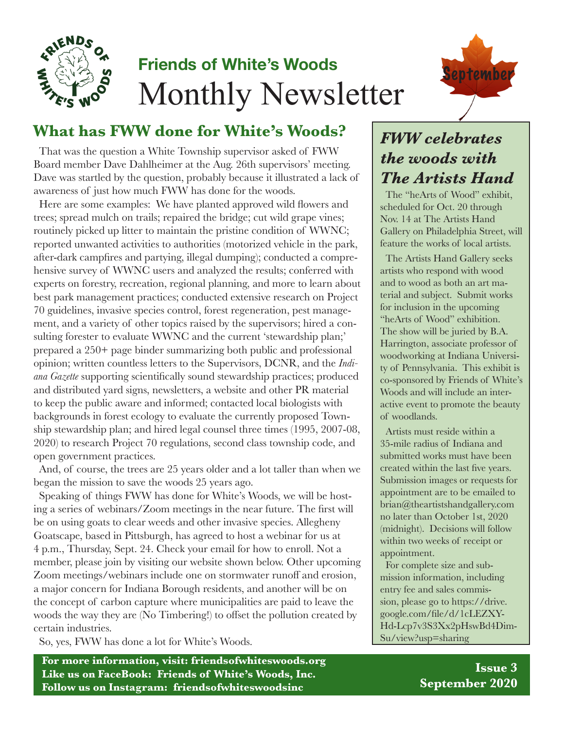

# **Friends of White's Woods** Monthly Newsletter



## **What has FWW done for White's Woods?**

That was the question a White Township supervisor asked of FWW Board member Dave Dahlheimer at the Aug. 26th supervisors' meeting. Dave was startled by the question, probably because it illustrated a lack of awareness of just how much FWW has done for the woods.

Here are some examples: We have planted approved wild flowers and trees; spread mulch on trails; repaired the bridge; cut wild grape vines; routinely picked up litter to maintain the pristine condition of WWNC; reported unwanted activities to authorities (motorized vehicle in the park, after-dark campfires and partying, illegal dumping); conducted a comprehensive survey of WWNC users and analyzed the results; conferred with experts on forestry, recreation, regional planning, and more to learn about best park management practices; conducted extensive research on Project 70 guidelines, invasive species control, forest regeneration, pest management, and a variety of other topics raised by the supervisors; hired a consulting forester to evaluate WWNC and the current 'stewardship plan;' prepared a 250+ page binder summarizing both public and professional opinion; written countless letters to the Supervisors, DCNR, and the *Indiana Gazette* supporting scientifically sound stewardship practices; produced and distributed yard signs, newsletters, a website and other PR material to keep the public aware and informed; contacted local biologists with backgrounds in forest ecology to evaluate the currently proposed Township stewardship plan; and hired legal counsel three times (1995, 2007-08, 2020) to research Project 70 regulations, second class township code, and open government practices.

And, of course, the trees are 25 years older and a lot taller than when we began the mission to save the woods 25 years ago.

Speaking of things FWW has done for White's Woods, we will be hosting a series of webinars/Zoom meetings in the near future. The first will be on using goats to clear weeds and other invasive species. Allegheny Goatscape, based in Pittsburgh, has agreed to host a webinar for us at 4 p.m., Thursday, Sept. 24. Check your email for how to enroll. Not a member, please join by visiting our website shown below. Other upcoming Zoom meetings/webinars include one on stormwater runoff and erosion, a major concern for Indiana Borough residents, and another will be on the concept of carbon capture where municipalities are paid to leave the woods the way they are (No Timbering!) to offset the pollution created by certain industries.

So, yes, FWW has done a lot for White's Woods.

**For more information, visit: friendsofwhiteswoods.org Like us on FaceBook: Friends of White's Woods, Inc. Follow us on Instagram: friendsofwhiteswoodsinc**

# *FWW celebrates the woods with The Artists Hand*

The "heArts of Wood" exhibit, scheduled for Oct. 20 through Nov. 14 at The Artists Hand Gallery on Philadelphia Street, will feature the works of local artists.

The Artists Hand Gallery seeks artists who respond with wood and to wood as both an art material and subject. Submit works for inclusion in the upcoming "heArts of Wood" exhibition. The show will be juried by B.A. Harrington, associate professor of woodworking at Indiana University of Pennsylvania. This exhibit is co-sponsored by Friends of White's Woods and will include an interactive event to promote the beauty of woodlands.

Artists must reside within a 35-mile radius of Indiana and submitted works must have been created within the last five years. Submission images or requests for appointment are to be emailed to brian@theartistshandgallery.com no later than October 1st, 2020 (midnight). Decisions will follow within two weeks of receipt or appointment.

For complete size and submission information, including entry fee and sales commission, please go to https://drive. google.com/file/d/1cLEZXY-Hd-Lcp7v3S3Xx2pHswBd4Dim-Su/view?usp=sharing

> **Issue 3 September 2020**